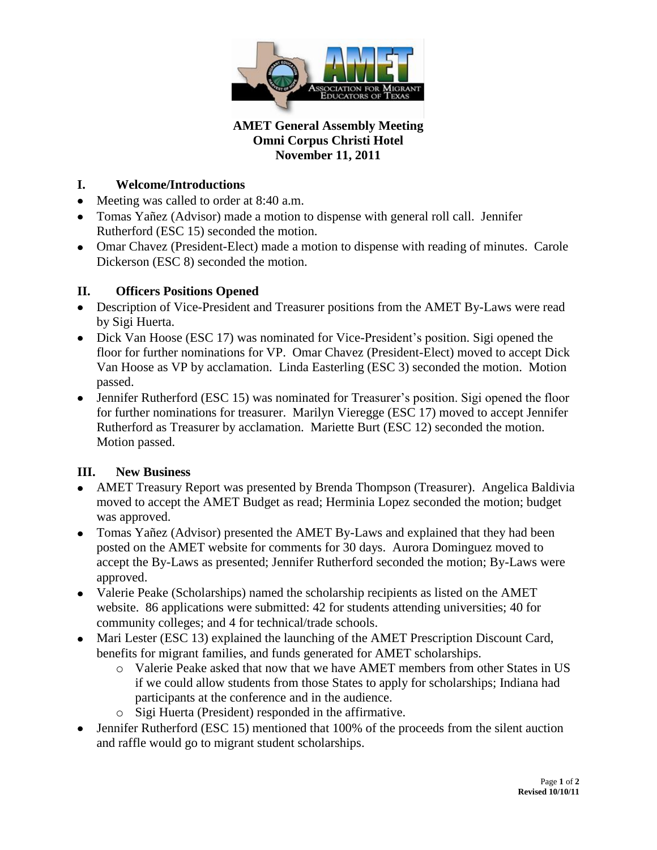

### **AMET General Assembly Meeting Omni Corpus Christi Hotel November 11, 2011**

# **I. Welcome/Introductions**

- Meeting was called to order at 8:40 a.m.
- Tomas Yañez (Advisor) made a motion to dispense with general roll call. Jennifer Rutherford (ESC 15) seconded the motion.
- Omar Chavez (President-Elect) made a motion to dispense with reading of minutes. Carole Dickerson (ESC 8) seconded the motion.

## **II. Officers Positions Opened**

- Description of Vice-President and Treasurer positions from the AMET By-Laws were read by Sigi Huerta.
- Dick Van Hoose (ESC 17) was nominated for Vice-President's position. Sigi opened the floor for further nominations for VP. Omar Chavez (President-Elect) moved to accept Dick Van Hoose as VP by acclamation. Linda Easterling (ESC 3) seconded the motion. Motion passed.
- Jennifer Rutherford (ESC 15) was nominated for Treasurer's position. Sigi opened the floor for further nominations for treasurer. Marilyn Vieregge (ESC 17) moved to accept Jennifer Rutherford as Treasurer by acclamation. Mariette Burt (ESC 12) seconded the motion. Motion passed.

# **III. New Business**

- AMET Treasury Report was presented by Brenda Thompson (Treasurer). Angelica Baldivia moved to accept the AMET Budget as read; Herminia Lopez seconded the motion; budget was approved.
- Tomas Yañez (Advisor) presented the AMET By-Laws and explained that they had been posted on the AMET website for comments for 30 days. Aurora Dominguez moved to accept the By-Laws as presented; Jennifer Rutherford seconded the motion; By-Laws were approved.
- Valerie Peake (Scholarships) named the scholarship recipients as listed on the AMET website. 86 applications were submitted: 42 for students attending universities; 40 for community colleges; and 4 for technical/trade schools.
- Mari Lester (ESC 13) explained the launching of the AMET Prescription Discount Card, benefits for migrant families, and funds generated for AMET scholarships.
	- o Valerie Peake asked that now that we have AMET members from other States in US if we could allow students from those States to apply for scholarships; Indiana had participants at the conference and in the audience.
	- o Sigi Huerta (President) responded in the affirmative.
- Jennifer Rutherford (ESC 15) mentioned that 100% of the proceeds from the silent auction and raffle would go to migrant student scholarships.